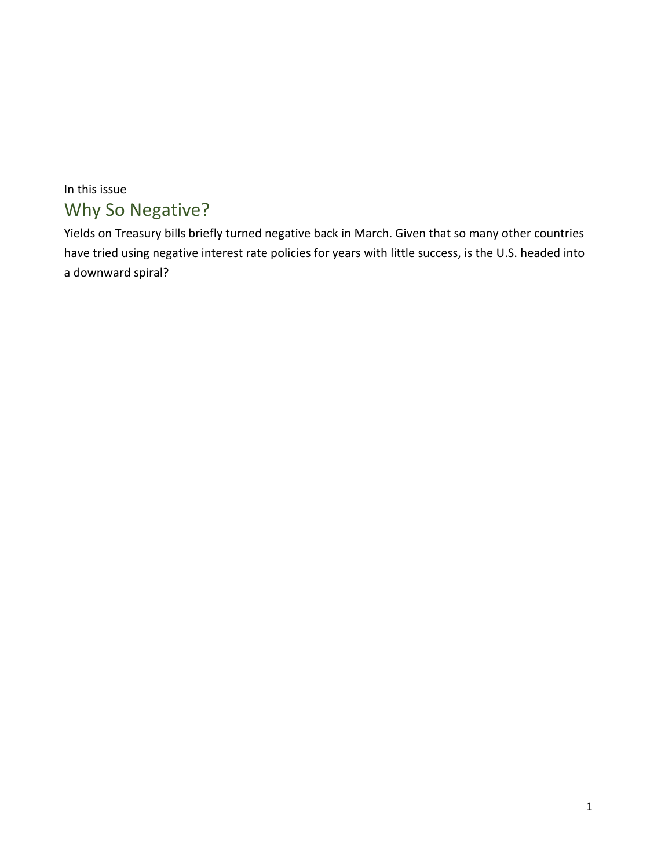# In this issue Why So Negative?

Yields on Treasury bills briefly turned negative back in March. Given that so many other countries have tried using negative interest rate policies for years with little success, is the U.S. headed into a downward spiral?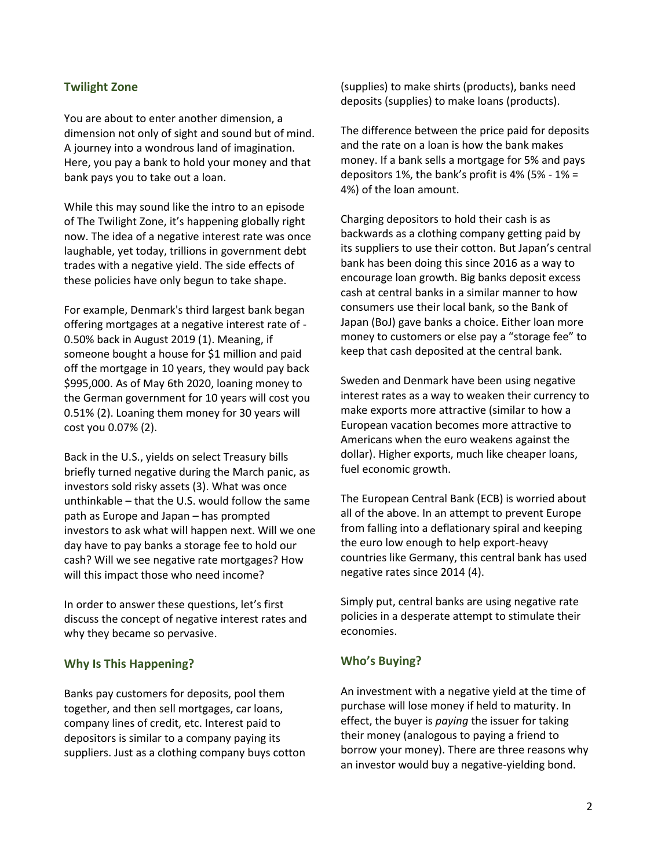# **Twilight Zone**

You are about to enter another dimension, a dimension not only of sight and sound but of mind. A journey into a wondrous land of imagination. Here, you pay a bank to hold your money and that bank pays you to take out a loan.

While this may sound like the intro to an episode of The Twilight Zone, it's happening globally right now. The idea of a negative interest rate was once laughable, yet today, trillions in government debt trades with a negative yield. The side effects of these policies have only begun to take shape.

For example, Denmark's third largest bank began offering mortgages at a negative interest rate of - 0.50% back in August 2019 (1). Meaning, if someone bought a house for \$1 million and paid off the mortgage in 10 years, they would pay back \$995,000. As of May 6th 2020, loaning money to the German government for 10 years will cost you 0.51% (2). Loaning them money for 30 years will cost you 0.07% (2).

Back in the U.S., yields on select Treasury bills briefly turned negative during the March panic, as investors sold risky assets (3). What was once unthinkable – that the U.S. would follow the same path as Europe and Japan – has prompted investors to ask what will happen next. Will we one day have to pay banks a storage fee to hold our cash? Will we see negative rate mortgages? How will this impact those who need income?

In order to answer these questions, let's first discuss the concept of negative interest rates and why they became so pervasive.

## **Why Is This Happening?**

Banks pay customers for deposits, pool them together, and then sell mortgages, car loans, company lines of credit, etc. Interest paid to depositors is similar to a company paying its suppliers. Just as a clothing company buys cotton (supplies) to make shirts (products), banks need deposits (supplies) to make loans (products).

The difference between the price paid for deposits and the rate on a loan is how the bank makes money. If a bank sells a mortgage for 5% and pays depositors 1%, the bank's profit is 4% (5% - 1% = 4%) of the loan amount.

Charging depositors to hold their cash is as backwards as a clothing company getting paid by its suppliers to use their cotton. But Japan's central bank has been doing this since 2016 as a way to encourage loan growth. Big banks deposit excess cash at central banks in a similar manner to how consumers use their local bank, so the Bank of Japan (BoJ) gave banks a choice. Either loan more money to customers or else pay a "storage fee" to keep that cash deposited at the central bank.

Sweden and Denmark have been using negative interest rates as a way to weaken their currency to make exports more attractive (similar to how a European vacation becomes more attractive to Americans when the euro weakens against the dollar). Higher exports, much like cheaper loans, fuel economic growth.

The European Central Bank (ECB) is worried about all of the above. In an attempt to prevent Europe from falling into a deflationary spiral and keeping the euro low enough to help export-heavy countries like Germany, this central bank has used negative rates since 2014 (4).

Simply put, central banks are using negative rate policies in a desperate attempt to stimulate their economies.

## **Who's Buying?**

An investment with a negative yield at the time of purchase will lose money if held to maturity. In effect, the buyer is *paying* the issuer for taking their money (analogous to paying a friend to borrow your money). There are three reasons why an investor would buy a negative-yielding bond.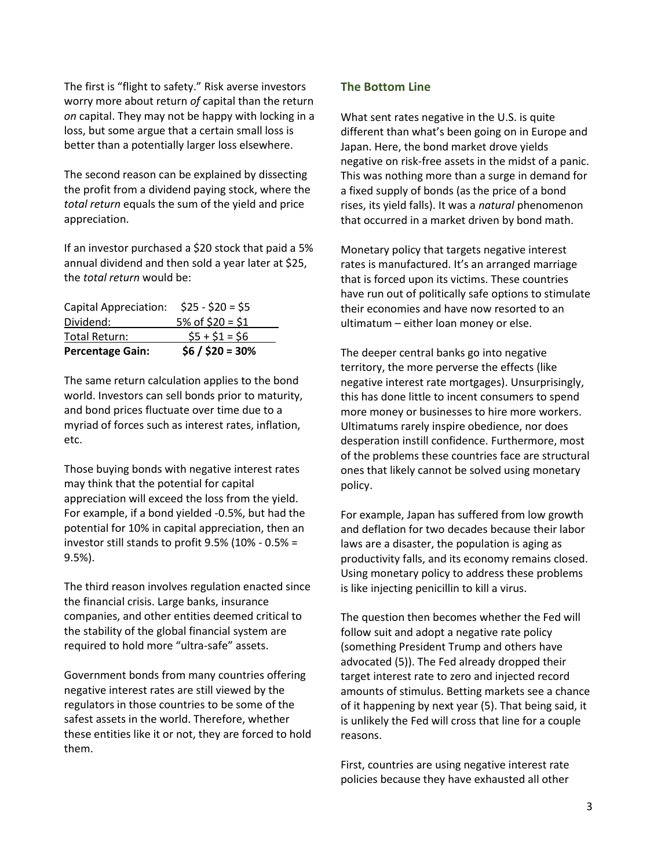The first is "flight to safety." Risk averse investors worry more about return *of* capital than the return *on* capital. They may not be happy with locking in a loss, but some argue that a certain small loss is better than a potentially larger loss elsewhere.

The second reason can be explained by dissecting the profit from a dividend paying stock, where the *total return* equals the sum of the yield and price appreciation.

If an investor purchased a \$20 stock that paid a 5% annual dividend and then sold a year later at \$25, the *total return* would be:

| Capital Appreciation:   | $$25 - $20 = $5$  |
|-------------------------|-------------------|
| Dividend:               | 5% of $$20 = $1$  |
| Total Return:           | $$5 + $1 = $6$    |
| <b>Percentage Gain:</b> | $$6 / $20 = 30\%$ |

The same return calculation applies to the bond world. Investors can sell bonds prior to maturity, and bond prices fluctuate over time due to a myriad of forces such as interest rates, inflation, etc.

Those buying bonds with negative interest rates may think that the potential for capital appreciation will exceed the loss from the yield. For example, if a bond yielded -0.5%, but had the potential for 10% in capital appreciation, then an investor still stands to profit 9.5% (10% - 0.5% = 9.5%).

The third reason involves regulation enacted since the financial crisis. Large banks, insurance companies, and other entities deemed critical to the stability of the global financial system are required to hold more "ultra-safe" assets.

Government bonds from many countries offering negative interest rates are still viewed by the regulators in those countries to be some of the safest assets in the world. Therefore, whether these entities like it or not, they are forced to hold them.

## **The Bottom Line**

What sent rates negative in the U.S. is quite different than what's been going on in Europe and Japan. Here, the bond market drove yields negative on risk-free assets in the midst of a panic. This was nothing more than a surge in demand for a fixed supply of bonds (as the price of a bond rises, its yield falls). It was a *natural* phenomenon that occurred in a market driven by bond math.

Monetary policy that targets negative interest rates is manufactured. It's an arranged marriage that is forced upon its victims. These countries have run out of politically safe options to stimulate their economies and have now resorted to an ultimatum – either loan money or else.

The deeper central banks go into negative territory, the more perverse the effects (like negative interest rate mortgages). Unsurprisingly, this has done little to incent consumers to spend more money or businesses to hire more workers. Ultimatums rarely inspire obedience, nor does desperation instill confidence. Furthermore, most of the problems these countries face are structural ones that likely cannot be solved using monetary policy.

For example, Japan has suffered from low growth and deflation for two decades because their labor laws are a disaster, the population is aging as productivity falls, and its economy remains closed. Using monetary policy to address these problems is like injecting penicillin to kill a virus.

The question then becomes whether the Fed will follow suit and adopt a negative rate policy (something President Trump and others have advocated (5)). The Fed already dropped their target interest rate to zero and injected record amounts of stimulus. Betting markets see a chance of it happening by next year (5). That being said, it is unlikely the Fed will cross that line for a couple reasons.

First, countries are using negative interest rate policies because they have exhausted all other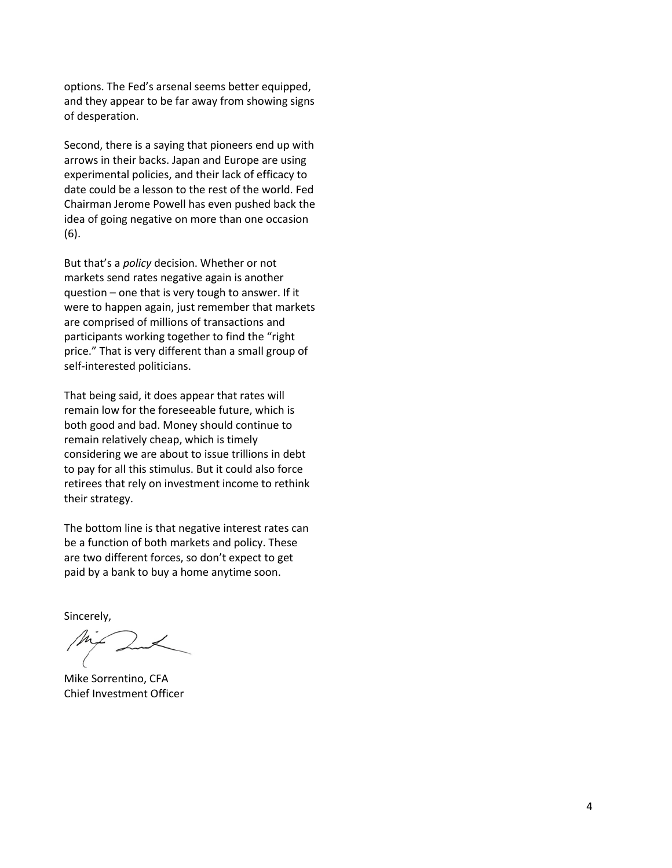options. The Fed's arsenal seems better equipped, and they appear to be far away from showing signs of desperation.

Second, there is a saying that pioneers end up with arrows in their backs. Japan and Europe are using experimental policies, and their lack of efficacy to date could be a lesson to the rest of the world. Fed Chairman Jerome Powell has even pushed back the idea of going negative on more than one occasion (6).

But that's a *policy* decision. Whether or not markets send rates negative again is another question – one that is very tough to answer. If it were to happen again, just remember that markets are comprised of millions of transactions and participants working together to find the "right price." That is very different than a small group of self-interested politicians.

That being said, it does appear that rates will remain low for the foreseeable future, which is both good and bad. Money should continue to remain relatively cheap, which is timely considering we are about to issue trillions in debt to pay for all this stimulus. But it could also force retirees that rely on investment income to rethink their strategy.

The bottom line is that negative interest rates can be a function of both markets and policy. These are two different forces, so don't expect to get paid by a bank to buy a home anytime soon.

Sincerely,

Mike Sorrentino, CFA Chief Investment Officer